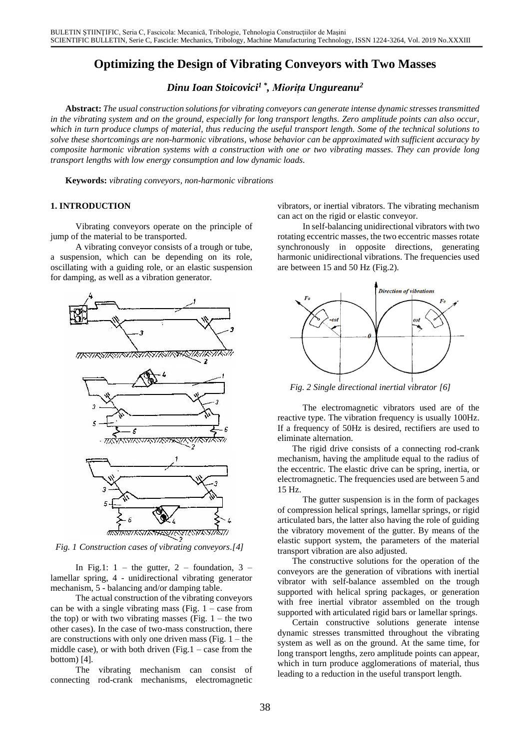# **Optimizing the Design of Vibrating Conveyors with Two Masses**

*Dinu Ioan Stoicovici 1 \* , Miorița Ungureanu<sup>2</sup>*

**Abstract:***The usual construction solutions for vibrating conveyors can generate intense dynamic stresses transmitted in the vibrating system and on the ground, especially for long transport lengths. Zero amplitude points can also occur, which in turn produce clumps of material, thus reducing the useful transport length. Some of the technical solutions to solve these shortcomings are non-harmonic vibrations, whose behavior can be approximated with sufficient accuracy by composite harmonic vibration systems with a construction with one or two vibrating masses. They can provide long transport lengths with low energy consumption and low dynamic loads.*

**Keywords:** *vibrating conveyors, non-harmonic vibrations*

## **1. INTRODUCTION**

Vibrating conveyors operate on the principle of jump of the material to be transported.

A vibrating conveyor consists of a trough or tube, a suspension, which can be depending on its role, oscillating with a guiding role, or an elastic suspension for damping, as well as a vibration generator.



*Fig. 1 Construction cases of vibrating conveyors.[4]*

In Fig.1: 1 – the gutter, 2 – foundation, 3 – lamellar spring, 4 - unidirectional vibrating generator mechanism, 5 - balancing and/or damping table.

The actual construction of the vibrating conveyors can be with a single vibrating mass (Fig.  $1 - \csc$  from the top) or with two vibrating masses (Fig.  $1$  – the two other cases). In the case of two-mass construction, there are constructions with only one driven mass (Fig.  $1$  – the middle case), or with both driven  $(Fig.1 - case from the$ bottom) [4].

The vibrating mechanism can consist of connecting rod-crank mechanisms, electromagnetic vibrators, or inertial vibrators. The vibrating mechanism can act on the rigid or elastic conveyor.

In self-balancing unidirectional vibrators with two rotating eccentric masses, the two eccentric masses rotate synchronously in opposite directions, generating harmonic unidirectional vibrations. The frequencies used are between 15 and 50 Hz (Fig.2).



*Fig. 2 Single directional inertial vibrator [6]*

The electromagnetic vibrators used are of the reactive type. The vibration frequency is usually 100Hz. If a frequency of 50Hz is desired, rectifiers are used to eliminate alternation.

The rigid drive consists of a connecting rod-crank mechanism, having the amplitude equal to the radius of the eccentric. The elastic drive can be spring, inertia, or electromagnetic. The frequencies used are between 5 and 15 Hz.

The gutter suspension is in the form of packages of compression helical springs, lamellar springs, or rigid articulated bars, the latter also having the role of guiding the vibratory movement of the gutter. By means of the elastic support system, the parameters of the material transport vibration are also adjusted.

The constructive solutions for the operation of the conveyors are the generation of vibrations with inertial vibrator with self-balance assembled on the trough supported with helical spring packages, or generation with free inertial vibrator assembled on the trough supported with articulated rigid bars or lamellar springs.

Certain constructive solutions generate intense dynamic stresses transmitted throughout the vibrating system as well as on the ground. At the same time, for long transport lengths, zero amplitude points can appear, which in turn produce agglomerations of material, thus leading to a reduction in the useful transport length.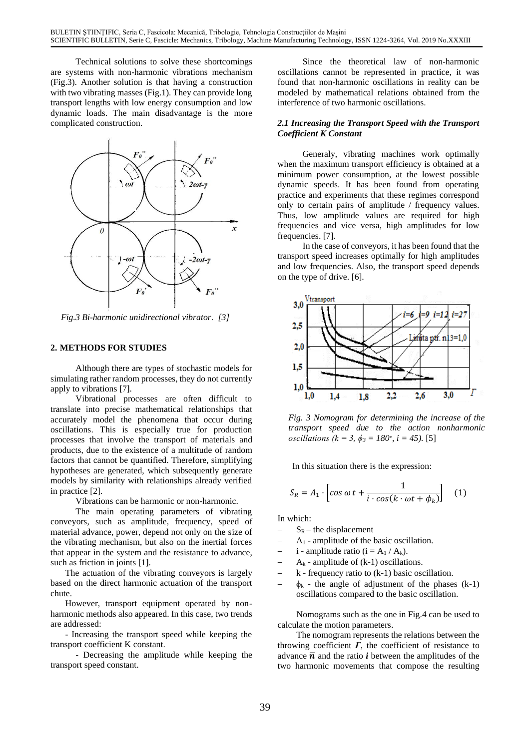Technical solutions to solve these shortcomings are systems with non-harmonic vibrations mechanism (Fig.3). Another solution is that having a construction with two vibrating masses (Fig.1). They can provide long transport lengths with low energy consumption and low dynamic loads. The main disadvantage is the more complicated construction.



*Fig.3 Bi-harmonic unidirectional vibrator. [3]*

#### **2. METHODS FOR STUDIES**

Although there are types of stochastic models for simulating rather random processes, they do not currently apply to vibrations [7].

Vibrational processes are often difficult to translate into precise mathematical relationships that accurately model the phenomena that occur during oscillations. This is especially true for production processes that involve the transport of materials and products, due to the existence of a multitude of random factors that cannot be quantified. Therefore, simplifying hypotheses are generated, which subsequently generate models by similarity with relationships already verified in practice [2].

Vibrations can be harmonic or non-harmonic.

The main operating parameters of vibrating conveyors, such as amplitude, frequency, speed of material advance, power, depend not only on the size of the vibrating mechanism, but also on the inertial forces that appear in the system and the resistance to advance, such as friction in joints [1].

The actuation of the vibrating conveyors is largely based on the direct harmonic actuation of the transport chute.

However, transport equipment operated by nonharmonic methods also appeared. In this case, two trends are addressed:

- Increasing the transport speed while keeping the transport coefficient K constant.

- Decreasing the amplitude while keeping the transport speed constant.

Since the theoretical law of non-harmonic oscillations cannot be represented in practice, it was found that non-harmonic oscillations in reality can be modeled by mathematical relations obtained from the interference of two harmonic oscillations.

#### *2.1 Increasing the Transport Speed with the Transport Coefficient K Constant*

Generaly, vibrating machines work optimally when the maximum transport efficiency is obtained at a minimum power consumption, at the lowest possible dynamic speeds. It has been found from operating practice and experiments that these regimes correspond only to certain pairs of amplitude / frequency values. Thus, low amplitude values are required for high frequencies and vice versa, high amplitudes for low frequencies. [7].

In the case of conveyors, it has been found that the transport speed increases optimally for high amplitudes and low frequencies. Also, the transport speed depends on the type of drive. [6].



*Fig. 3 Nomogram for determining the increase of the transport speed due to the action nonharmonic oscillations* ( $k = 3$ ,  $\phi_3 = 180^\circ$ ,  $i = 45$ ). [5]

In this situation there is the expression:

$$
S_R = A_1 \cdot \left[ \cos \omega t + \frac{1}{i \cdot \cos(k \cdot \omega t + \phi_k)} \right] \quad (1)
$$

In which:

- $S_R$  the displacement
- − A<sup>1</sup> amplitude of the basic oscillation.
- $-$  i amplitude ratio (i = A<sub>1</sub> / A<sub>k</sub>).
- $A_k$  amplitude of (k-1) oscillations.
- $k$  frequency ratio to  $(k-1)$  basic oscillation.
- $\phi_k$  the angle of adjustment of the phases (k-1) oscillations compared to the basic oscillation.

Nomograms such as the one in Fig.4 can be used to calculate the motion parameters.

The nomogram represents the relations between the throwing coefficient  $\Gamma$ , the coefficient of resistance to advance  $\bar{n}$  and the ratio *i* between the amplitudes of the two harmonic movements that compose the resulting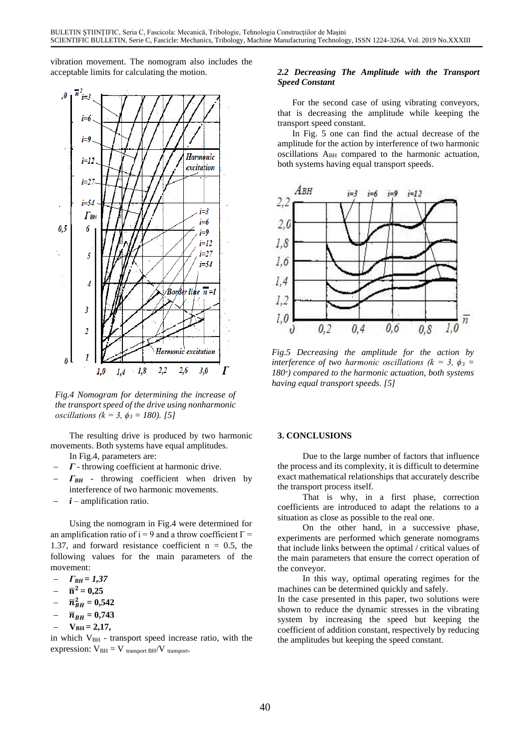vibration movement. The nomogram also includes the acceptable limits for calculating the motion.



*Fig.4 Nomogram for determining the increase of the transport speed of the drive using nonharmonic oscillations (k = 3, ϕ<sup>3</sup> = 180). [5]*

The resulting drive is produced by two harmonic movements. Both systems have equal amplitudes. In Fig.4, parameters are:

- − *Γ* throwing coefficient at harmonic drive.
- *Γ<sub>BH</sub>* throwing coefficient when driven by interference of two harmonic movements.
- − *i* amplification ratio.

Using the nomogram in Fig.4 were determined for an amplification ratio of i = 9 and a throw coefficient  $\Gamma$  = 1.37, and forward resistance coefficient  $n = 0.5$ , the following values for the main parameters of the movement:

- − *ΓBH = 1,37*
- $\overline{n}^2 = 0,25$
- $\overline{n}_{BH}^2 = 0,542$
- $\bar{n}_{BH} = 0,743$
- $V_{BH} = 2,17,$

in which  $V_{BH}$  - transport speed increase ratio, with the expression:  $V_{BH} = V_{transport BH}/V_{transport}$ .

# *2.2 Decreasing The Amplitude with the Transport Speed Constant*

For the second case of using vibrating conveyors, that is decreasing the amplitude while keeping the transport speed constant.

In Fig. 5 one can find the actual decrease of the amplitude for the action by interference of two harmonic oscillations A<sub>BH</sub> compared to the harmonic actuation, both systems having equal transport speeds.



*Fig.5 Decreasing the amplitude for the action by interference of two harmonic oscillations (* $k = 3$ *,*  $\phi_3 =$ *180*<sup>*∘*</sup>) *compared to the harmonic actuation, both systems having equal transport speeds. [5]*

# **3. CONCLUSIONS**

Due to the large number of factors that influence the process and its complexity, it is difficult to determine exact mathematical relationships that accurately describe the transport process itself.

That is why, in a first phase, correction coefficients are introduced to adapt the relations to a situation as close as possible to the real one.

On the other hand, in a successive phase, experiments are performed which generate nomograms that include links between the optimal / critical values of the main parameters that ensure the correct operation of the conveyor.

In this way, optimal operating regimes for the machines can be determined quickly and safely.

In the case presented in this paper, two solutions were shown to reduce the dynamic stresses in the vibrating system by increasing the speed but keeping the coefficient of addition constant, respectively by reducing the amplitudes but keeping the speed constant.